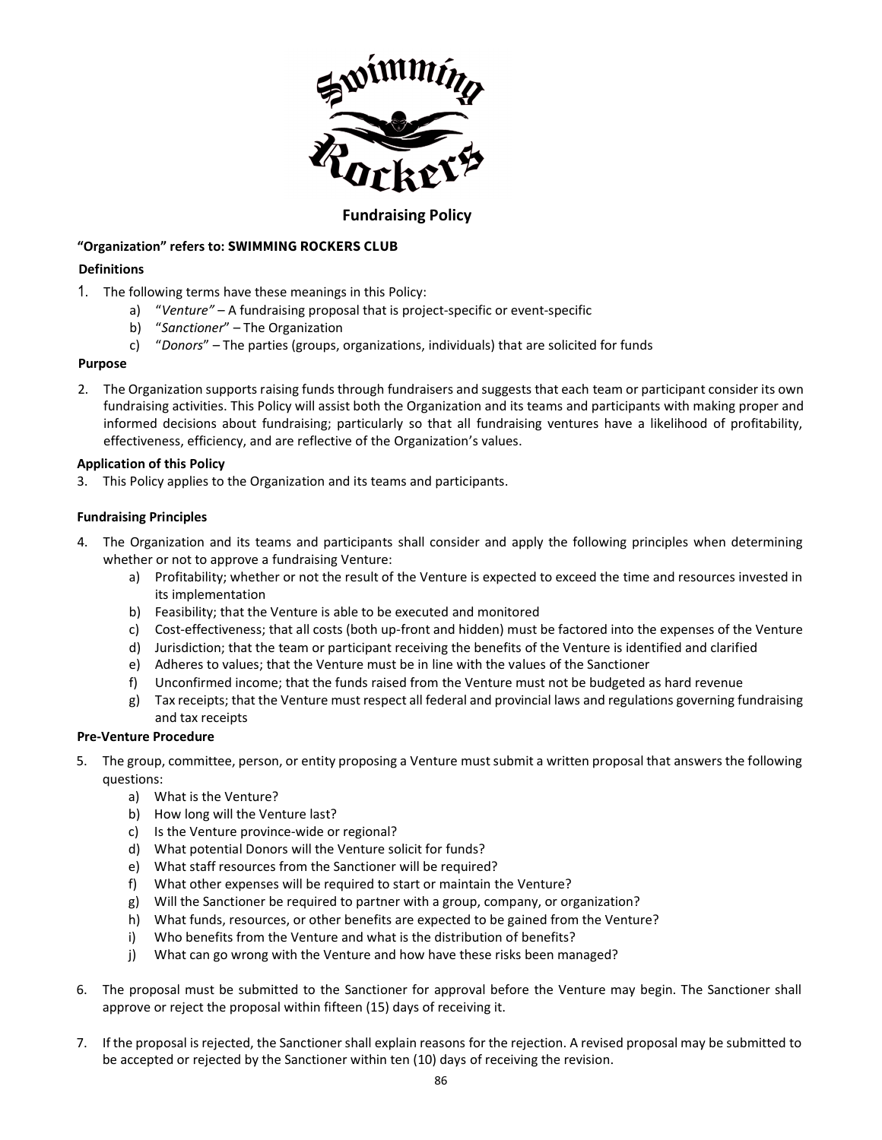

# **Fundraising Policy**

## **"Organization" refers to:SWIMMING ROCKERS CLUB**

# **Definitions**

- 1. The following terms have these meanings in this Policy:
	- a) "*Venture"* A fundraising proposal that is project-specific or event-specific
	- b) "*Sanctioner*" The Organization
	- c) "*Donors*" The parties (groups, organizations, individuals) that are solicited for funds

### **Purpose**

2. The Organization supports raising funds through fundraisers and suggests that each team or participant consider its own fundraising activities. This Policy will assist both the Organization and its teams and participants with making proper and informed decisions about fundraising; particularly so that all fundraising ventures have a likelihood of profitability, effectiveness, efficiency, and are reflective of the Organization's values.

### **Application of this Policy**

3. This Policy applies to the Organization and its teams and participants.

### **Fundraising Principles**

- 4. The Organization and its teams and participants shall consider and apply the following principles when determining whether or not to approve a fundraising Venture:
	- a) Profitability; whether or not the result of the Venture is expected to exceed the time and resources invested in its implementation
	- b) Feasibility; that the Venture is able to be executed and monitored
	- c) Cost-effectiveness; that all costs (both up-front and hidden) must be factored into the expenses of the Venture
	- d) Jurisdiction; that the team or participant receiving the benefits of the Venture is identified and clarified
	- e) Adheres to values; that the Venture must be in line with the values of the Sanctioner
	- f) Unconfirmed income; that the funds raised from the Venture must not be budgeted as hard revenue
	- g) Tax receipts; that the Venture must respect all federal and provincial laws and regulations governing fundraising and tax receipts

#### **Pre-Venture Procedure**

- 5. The group, committee, person, or entity proposing a Venture must submit a written proposal that answers the following questions:
	- a) What is the Venture?
	- b) How long will the Venture last?
	- c) Is the Venture province-wide or regional?
	- d) What potential Donors will the Venture solicit for funds?
	- e) What staff resources from the Sanctioner will be required?
	- f) What other expenses will be required to start or maintain the Venture?
	- g) Will the Sanctioner be required to partner with a group, company, or organization?
	- h) What funds, resources, or other benefits are expected to be gained from the Venture?
	- i) Who benefits from the Venture and what is the distribution of benefits?
	- j) What can go wrong with the Venture and how have these risks been managed?
- 6. The proposal must be submitted to the Sanctioner for approval before the Venture may begin. The Sanctioner shall approve or reject the proposal within fifteen (15) days of receiving it.
- 7. If the proposal is rejected, the Sanctioner shall explain reasons for the rejection. A revised proposal may be submitted to be accepted or rejected by the Sanctioner within ten (10) days of receiving the revision.